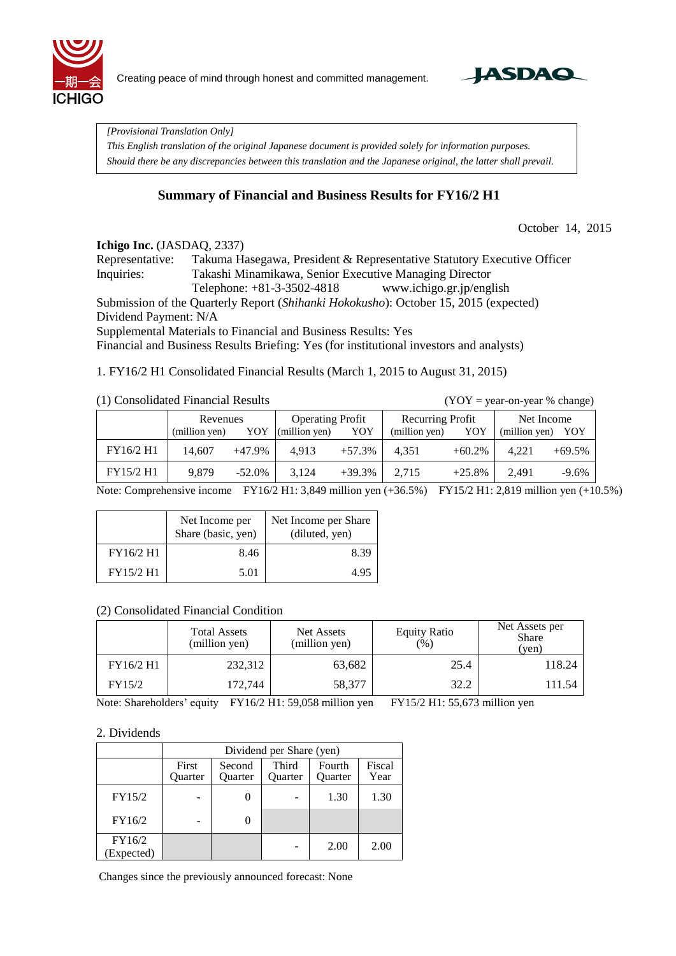

Creating peace of mind through honest and committed management.



*[Provisional Translation Only]* 

*This English translation of the original Japanese document is provided solely for information purposes. Should there be any discrepancies between this translation and the Japanese original, the latter shall prevail.*

## **Summary of Financial and Business Results for FY16/2 H1**

October 14, 2015

#### **Ichigo Inc.** (JASDAO, 2337)

Representative: Takuma Hasegawa, President & Representative Statutory Executive Officer Inquiries: Takashi Minamikawa, Senior Executive Managing Director Telephone: +81-3-3502-4818 www.ichigo.gr.jp/english Submission of the Quarterly Report (*Shihanki Hokokusho*): October 15, 2015 (expected) Dividend Payment: N/A

Supplemental Materials to Financial and Business Results: Yes

Financial and Business Results Briefing: Yes (for institutional investors and analysts)

1. FY16/2 H1 Consolidated Financial Results (March 1, 2015 to August 31, 2015)

#### (1) Consolidated Financial Results (YOY = year-on-year % change)

|           | Revenues<br>YOY<br>(million yen) |           | <b>Operating Profit</b><br>YOY<br>$\left(\text{million yen}\right)$ |          | Recurring Profit<br>YOY<br>(million yen) |           | Net Income<br>(million yen)<br>YOY |          |
|-----------|----------------------------------|-----------|---------------------------------------------------------------------|----------|------------------------------------------|-----------|------------------------------------|----------|
| FY16/2 H1 | 14.607                           | +47.9%    | 4.913                                                               | $+57.3%$ | 4.351                                    | $+60.2%$  | 4.221                              | $+69.5%$ |
| FY15/2 H1 | 9.879                            | $-52.0\%$ | 3.124                                                               | $+39.3%$ | 2,715                                    | $+25.8\%$ | 2.491                              | $-9.6%$  |

Note: Comprehensive income FY16/2 H1: 3,849 million yen (+36.5%) FY15/2 H1: 2,819 million yen (+10.5%)

|           | Net Income per<br>Share (basic, yen) | Net Income per Share<br>(diluted, yen) |
|-----------|--------------------------------------|----------------------------------------|
| FY16/2 H1 | 8.46                                 | 8.39                                   |
| FY15/2 H1 | 5.01                                 | 4.95                                   |

### (2) Consolidated Financial Condition

|           | <b>Total Assets</b><br>(million yen) | Net Assets<br>(million yen) | <b>Equity Ratio</b><br>$(\%)$ | Net Assets per<br><b>Share</b><br>(yen) |
|-----------|--------------------------------------|-----------------------------|-------------------------------|-----------------------------------------|
| FY16/2 H1 | 232,312                              | 63,682                      | 25.4                          | 118.24                                  |
| FY15/2    | 172,744                              | 58,377                      | 32.2                          | 111.54                                  |

Note: Shareholders' equity FY16/2 H1: 59,058 million yen FY15/2 H1: 55,673 million yen

### 2. Dividends

|                      | Dividend per Share (yen) |                   |                  |                   |                |  |  |  |  |
|----------------------|--------------------------|-------------------|------------------|-------------------|----------------|--|--|--|--|
|                      | First<br>Quarter         | Second<br>Ouarter | Third<br>Ouarter | Fourth<br>Quarter | Fiscal<br>Year |  |  |  |  |
| FY15/2               |                          |                   |                  | 1.30              | 1.30           |  |  |  |  |
| FY16/2               |                          |                   |                  |                   |                |  |  |  |  |
| FY16/2<br>(Expected) |                          |                   |                  | 2.00              | 2.00           |  |  |  |  |

Changes since the previously announced forecast: None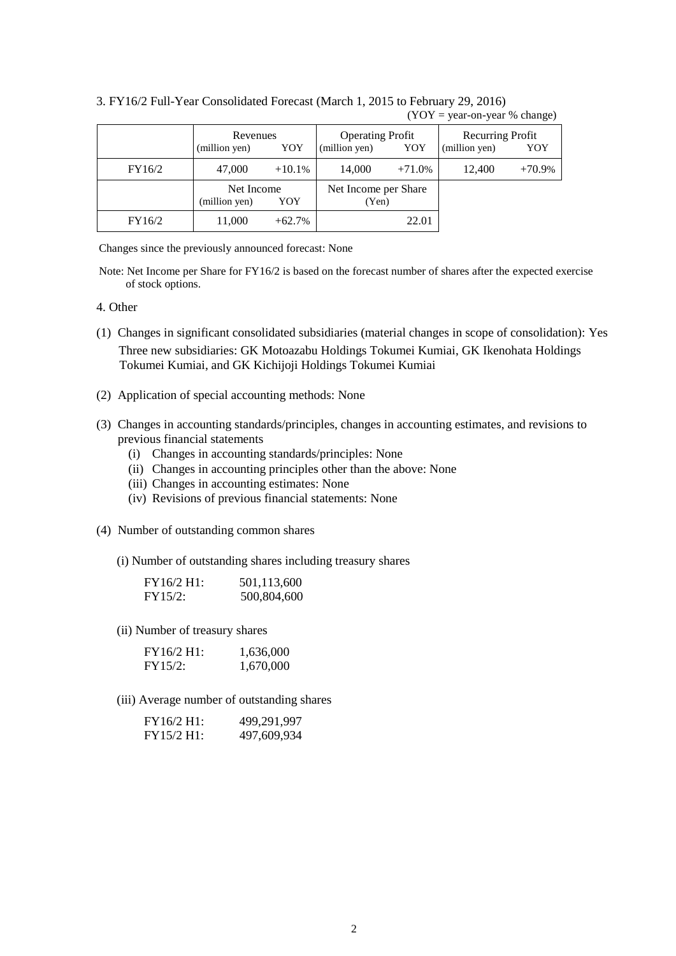|        | Revenues<br>(million yen)<br>YOY   |          | <b>Operating Profit</b><br>(million yen) | YOY      | Recurring Profit<br>(million yen)<br>YOY |          |  |
|--------|------------------------------------|----------|------------------------------------------|----------|------------------------------------------|----------|--|
| FY16/2 | 47,000                             | $+10.1%$ | 14,000                                   | $+71.0%$ | 12,400                                   | $+70.9%$ |  |
|        | Net Income<br>YOY<br>(million yen) |          | Net Income per Share<br>(Yen)            |          |                                          |          |  |
| FY16/2 | 11,000                             | $+62.7%$ |                                          | 22.01    |                                          |          |  |

3. FY16/2 Full-Year Consolidated Forecast (March 1, 2015 to February 29, 2016)  $(YOY = year-on-year % change)$ 

Changes since the previously announced forecast: None

Note: Net Income per Share for FY16/2 is based on the forecast number of shares after the expected exercise of stock options.

### 4. Other

- (1) Changes in significant consolidated subsidiaries (material changes in scope of consolidation): Yes Three new subsidiaries: GK Motoazabu Holdings Tokumei Kumiai, GK Ikenohata Holdings Tokumei Kumiai, and GK Kichijoji Holdings Tokumei Kumiai
- (2) Application of special accounting methods: None
- (3) Changes in accounting standards/principles, changes in accounting estimates, and revisions to previous financial statements
	- (i) Changes in accounting standards/principles: None
	- (ii) Changes in accounting principles other than the above: None
	- (iii) Changes in accounting estimates: None
	- (iv) Revisions of previous financial statements: None
- (4) Number of outstanding common shares

(i) Number of outstanding shares including treasury shares

| FY16/2 H1: | 501,113,600 |
|------------|-------------|
| FY15/2:    | 500,804,600 |

(ii) Number of treasury shares

| FY16/2 H1: | 1,636,000 |
|------------|-----------|
| FY15/2:    | 1,670,000 |

(iii) Average number of outstanding shares

| FY16/2 H1: | 499,291,997 |
|------------|-------------|
| FY15/2 H1: | 497,609,934 |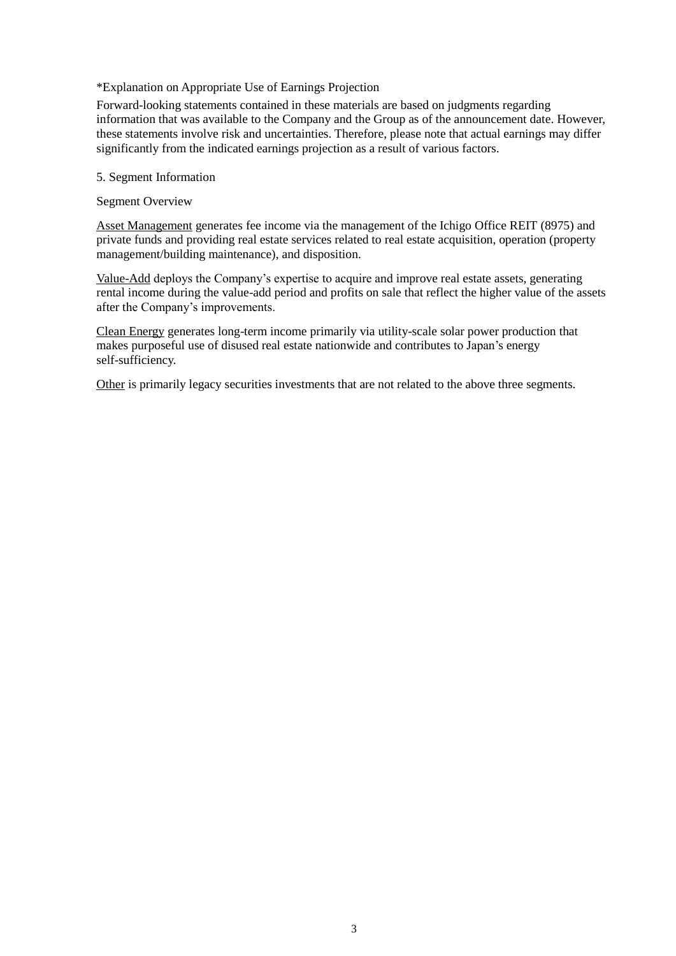### \*Explanation on Appropriate Use of Earnings Projection

Forward-looking statements contained in these materials are based on judgments regarding information that was available to the Company and the Group as of the announcement date. However, these statements involve risk and uncertainties. Therefore, please note that actual earnings may differ significantly from the indicated earnings projection as a result of various factors.

5. Segment Information

Segment Overview

Asset Management generates fee income via the management of the Ichigo Office REIT (8975) and private funds and providing real estate services related to real estate acquisition, operation (property management/building maintenance), and disposition.

Value-Add deploys the Company's expertise to acquire and improve real estate assets, generating rental income during the value-add period and profits on sale that reflect the higher value of the assets after the Company's improvements.

Clean Energy generates long-term income primarily via utility-scale solar power production that makes purposeful use of disused real estate nationwide and contributes to Japan's energy self-sufficiency.

Other is primarily legacy securities investments that are not related to the above three segments.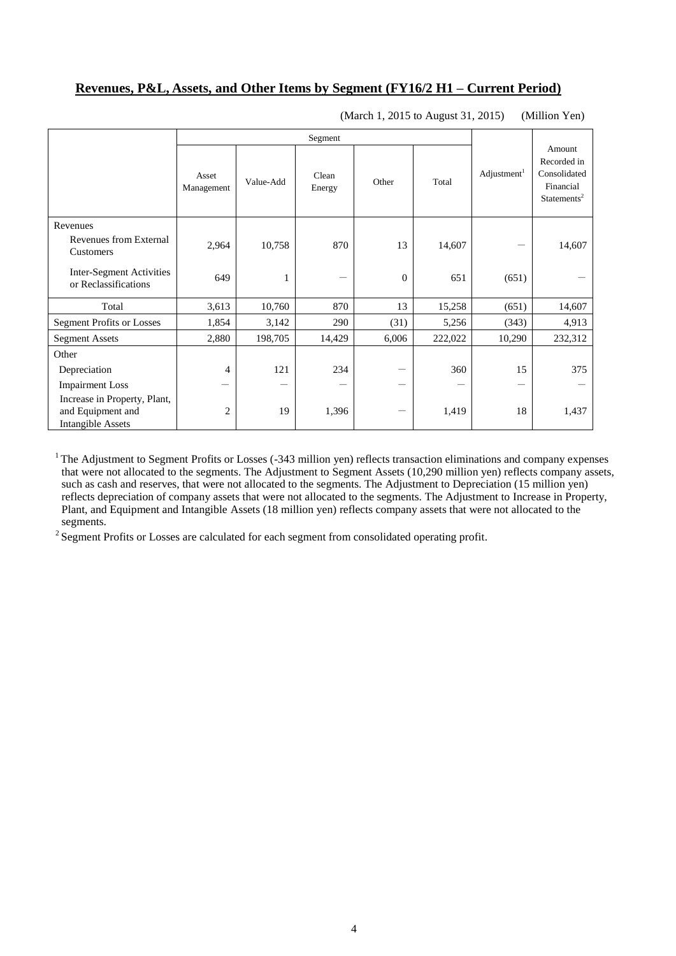## **Revenues, P&L, Assets, and Other Items by Segment (FY16/2 H1 – Current Period)**

|                                                                               |                     | Segment   |                 |          |         |                         |                                                                               |
|-------------------------------------------------------------------------------|---------------------|-----------|-----------------|----------|---------|-------------------------|-------------------------------------------------------------------------------|
|                                                                               | Asset<br>Management | Value-Add | Clean<br>Energy | Other    | Total   | Adjustment <sup>1</sup> | Amount<br>Recorded in<br>Consolidated<br>Financial<br>Statements <sup>2</sup> |
| Revenues                                                                      |                     |           |                 |          |         |                         |                                                                               |
| Revenues from External<br>Customers                                           | 2,964               | 10,758    | 870             | 13       | 14,607  |                         | 14,607                                                                        |
| Inter-Segment Activities<br>or Reclassifications                              | 649                 | 1         |                 | $\theta$ | 651     | (651)                   |                                                                               |
| Total                                                                         | 3,613               | 10,760    | 870             | 13       | 15,258  | (651)                   | 14,607                                                                        |
| <b>Segment Profits or Losses</b>                                              | 1,854               | 3,142     | 290             | (31)     | 5,256   | (343)                   | 4,913                                                                         |
| <b>Segment Assets</b>                                                         | 2,880               | 198,705   | 14,429          | 6,006    | 222,022 | 10,290                  | 232,312                                                                       |
| Other                                                                         |                     |           |                 |          |         |                         |                                                                               |
| Depreciation                                                                  | 4                   | 121       | 234             |          | 360     | 15                      | 375                                                                           |
| <b>Impairment Loss</b>                                                        |                     |           |                 |          |         |                         |                                                                               |
| Increase in Property, Plant,<br>and Equipment and<br><b>Intangible Assets</b> | $\overline{2}$      | 19        | 1,396           | -        | 1,419   | 18                      | 1,437                                                                         |

(March 1, 2015 to August 31, 2015) (Million Yen)

 $1$  The Adjustment to Segment Profits or Losses (-343 million yen) reflects transaction eliminations and company expenses that were not allocated to the segments. The Adjustment to Segment Assets (10,290 million yen) reflects company assets, such as cash and reserves, that were not allocated to the segments. The Adjustment to Depreciation (15 million yen) reflects depreciation of company assets that were not allocated to the segments. The Adjustment to Increase in Property, Plant, and Equipment and Intangible Assets (18 million yen) reflects company assets that were not allocated to the segments.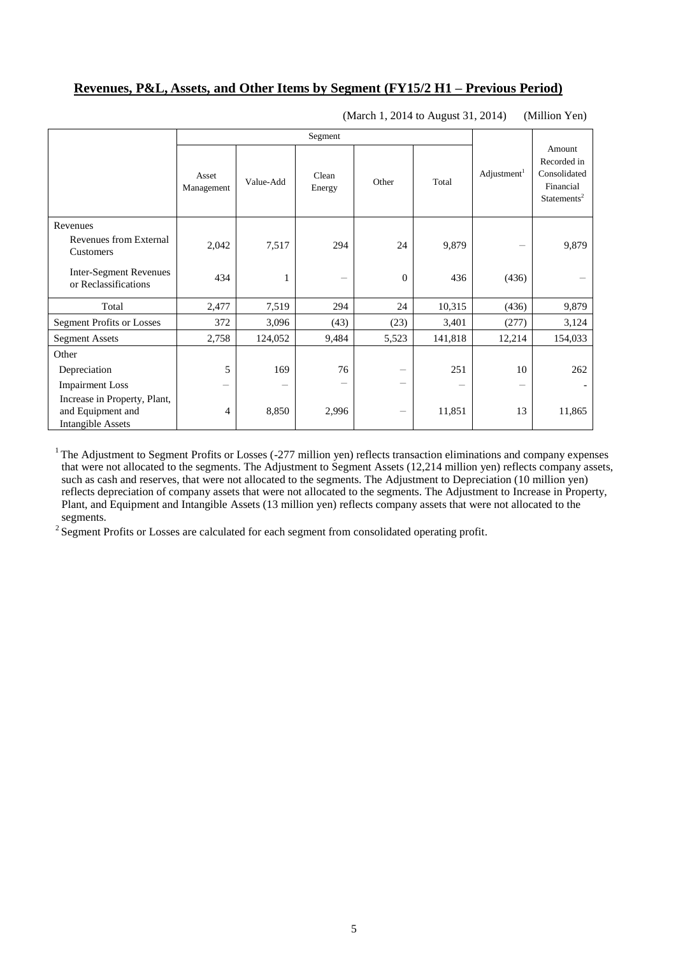## **Revenues, P&L, Assets, and Other Items by Segment (FY15/2 H1 – Previous Period)**

|                                                                               |                     | Segment   |                 |              |         |                         |                                                                               |
|-------------------------------------------------------------------------------|---------------------|-----------|-----------------|--------------|---------|-------------------------|-------------------------------------------------------------------------------|
|                                                                               | Asset<br>Management | Value-Add | Clean<br>Energy | Other        | Total   | Adjustment <sup>1</sup> | Amount<br>Recorded in<br>Consolidated<br>Financial<br>Statements <sup>2</sup> |
| Revenues                                                                      |                     |           |                 |              |         |                         |                                                                               |
| Revenues from External<br>Customers                                           | 2,042               | 7,517     | 294             | 24           | 9,879   |                         | 9,879                                                                         |
| <b>Inter-Segment Revenues</b><br>or Reclassifications                         | 434                 | 1         | -               | $\mathbf{0}$ | 436     | (436)                   |                                                                               |
| Total                                                                         | 2,477               | 7,519     | 294             | 24           | 10,315  | (436)                   | 9,879                                                                         |
| <b>Segment Profits or Losses</b>                                              | 372                 | 3,096     | (43)            | (23)         | 3,401   | (277)                   | 3,124                                                                         |
| <b>Segment Assets</b>                                                         | 2,758               | 124,052   | 9,484           | 5,523        | 141,818 | 12,214                  | 154,033                                                                       |
| Other                                                                         |                     |           |                 |              |         |                         |                                                                               |
| Depreciation                                                                  | 5                   | 169       | 76              |              | 251     | 10                      | 262                                                                           |
| <b>Impairment Loss</b>                                                        | -                   |           | -               | -            |         |                         |                                                                               |
| Increase in Property, Plant,<br>and Equipment and<br><b>Intangible Assets</b> | 4                   | 8,850     | 2,996           | -            | 11,851  | 13                      | 11,865                                                                        |

(March 1, 2014 to August 31, 2014) (Million Yen)

 $1$  The Adjustment to Segment Profits or Losses (-277 million yen) reflects transaction eliminations and company expenses that were not allocated to the segments. The Adjustment to Segment Assets (12,214 million yen) reflects company assets, such as cash and reserves, that were not allocated to the segments. The Adjustment to Depreciation (10 million yen) reflects depreciation of company assets that were not allocated to the segments. The Adjustment to Increase in Property, Plant, and Equipment and Intangible Assets (13 million yen) reflects company assets that were not allocated to the segments.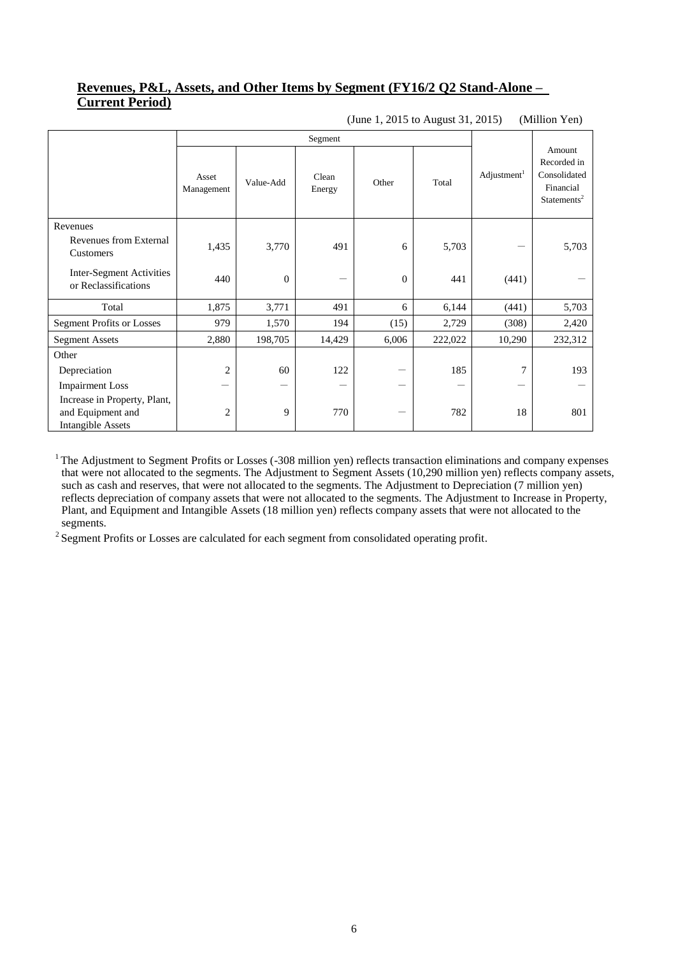## **Revenues, P&L, Assets, and Other Items by Segment (FY16/2 Q2 Stand-Alone – Current Period)**

|                                                                               | Segment             |              |                 |              |         |                         |                                                                               |
|-------------------------------------------------------------------------------|---------------------|--------------|-----------------|--------------|---------|-------------------------|-------------------------------------------------------------------------------|
|                                                                               | Asset<br>Management | Value-Add    | Clean<br>Energy | Other        | Total   | Adjustment <sup>1</sup> | Amount<br>Recorded in<br>Consolidated<br>Financial<br>Statements <sup>2</sup> |
| Revenues                                                                      |                     |              |                 |              |         |                         |                                                                               |
| Revenues from External<br>Customers                                           | 1,435               | 3,770        | 491             | 6            | 5,703   |                         | 5,703                                                                         |
| Inter-Segment Activities<br>or Reclassifications                              | 440                 | $\mathbf{0}$ | -               | $\mathbf{0}$ | 441     | (441)                   |                                                                               |
| Total                                                                         | 1,875               | 3,771        | 491             | 6            | 6,144   | (441)                   | 5,703                                                                         |
| <b>Segment Profits or Losses</b>                                              | 979                 | 1,570        | 194             | (15)         | 2,729   | (308)                   | 2,420                                                                         |
| <b>Segment Assets</b>                                                         | 2,880               | 198,705      | 14,429          | 6,006        | 222,022 | 10,290                  | 232,312                                                                       |
| Other                                                                         |                     |              |                 |              |         |                         |                                                                               |
| Depreciation                                                                  | $\overline{2}$      | 60           | 122             |              | 185     | $\overline{7}$          | 193                                                                           |
| <b>Impairment Loss</b>                                                        | —                   | –            |                 |              |         |                         |                                                                               |
| Increase in Property, Plant,<br>and Equipment and<br><b>Intangible Assets</b> | $\overline{2}$      | 9            | 770             |              | 782     | 18                      | 801                                                                           |

(June 1, 2015 to August 31, 2015) (Million Yen)

<sup>1</sup> The Adjustment to Segment Profits or Losses (-308 million yen) reflects transaction eliminations and company expenses that were not allocated to the segments. The Adjustment to Segment Assets (10,290 million yen) reflects company assets, such as cash and reserves, that were not allocated to the segments. The Adjustment to Depreciation (7 million yen) reflects depreciation of company assets that were not allocated to the segments. The Adjustment to Increase in Property, Plant, and Equipment and Intangible Assets (18 million yen) reflects company assets that were not allocated to the segments.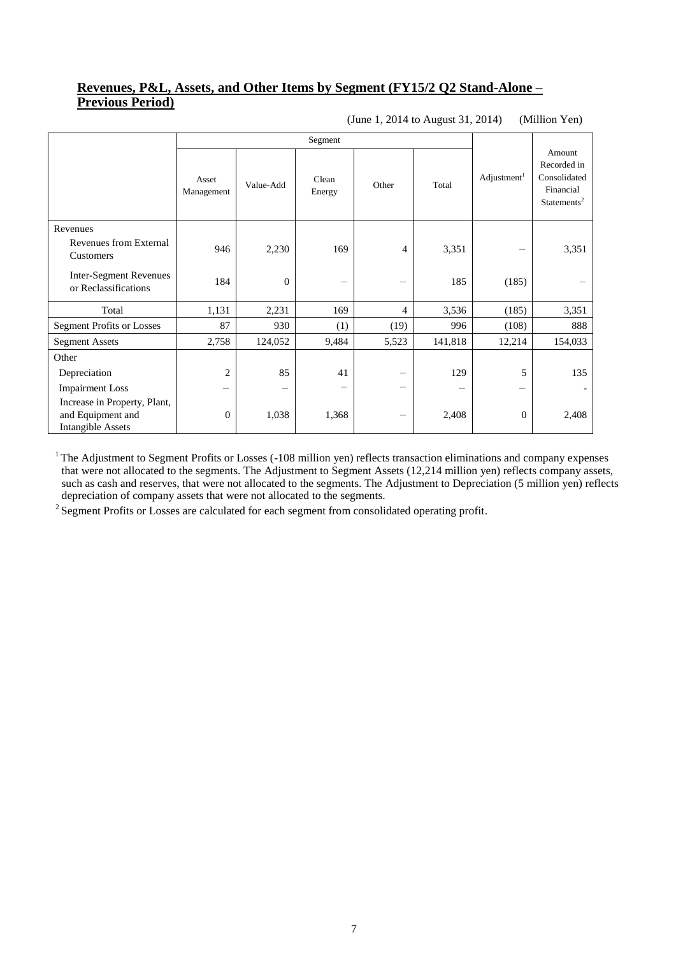## **Revenues, P&L, Assets, and Other Items by Segment (FY15/2 Q2 Stand-Alone – Previous Period)**

(June 1, 2014 to August 31, 2014) (Million Yen)

|                                                                               | Segment             |           |                 |                   |         |                         |                                                                               |
|-------------------------------------------------------------------------------|---------------------|-----------|-----------------|-------------------|---------|-------------------------|-------------------------------------------------------------------------------|
|                                                                               | Asset<br>Management | Value-Add | Clean<br>Energy | Other             | Total   | Adjustment <sup>1</sup> | Amount<br>Recorded in<br>Consolidated<br>Financial<br>Statements <sup>2</sup> |
| Revenues                                                                      |                     |           |                 |                   |         |                         |                                                                               |
| Revenues from External<br>Customers                                           | 946                 | 2,230     | 169             | 4                 | 3,351   | -                       | 3,351                                                                         |
| <b>Inter-Segment Revenues</b><br>or Reclassifications                         | 184                 | $\theta$  | -               | -                 | 185     | (185)                   |                                                                               |
| Total                                                                         | 1,131               | 2,231     | 169             | 4                 | 3,536   | (185)                   | 3,351                                                                         |
| <b>Segment Profits or Losses</b>                                              | 87                  | 930       | (1)             | (19)              | 996     | (108)                   | 888                                                                           |
| <b>Segment Assets</b>                                                         | 2,758               | 124,052   | 9,484           | 5,523             | 141,818 | 12,214                  | 154,033                                                                       |
| Other                                                                         |                     |           |                 |                   |         |                         |                                                                               |
| Depreciation                                                                  | $\overline{2}$      | 85        | 41              | -                 | 129     | 5                       | 135                                                                           |
| <b>Impairment Loss</b>                                                        | —                   | -         | -               |                   |         | —                       |                                                                               |
| Increase in Property, Plant,<br>and Equipment and<br><b>Intangible Assets</b> | $\boldsymbol{0}$    | 1,038     | 1,368           | $\qquad \qquad -$ | 2,408   | $\mathbf{0}$            | 2,408                                                                         |

 $1$  The Adjustment to Segment Profits or Losses (-108 million yen) reflects transaction eliminations and company expenses that were not allocated to the segments. The Adjustment to Segment Assets (12,214 million yen) reflects company assets, such as cash and reserves, that were not allocated to the segments. The Adjustment to Depreciation (5 million yen) reflects depreciation of company assets that were not allocated to the segments.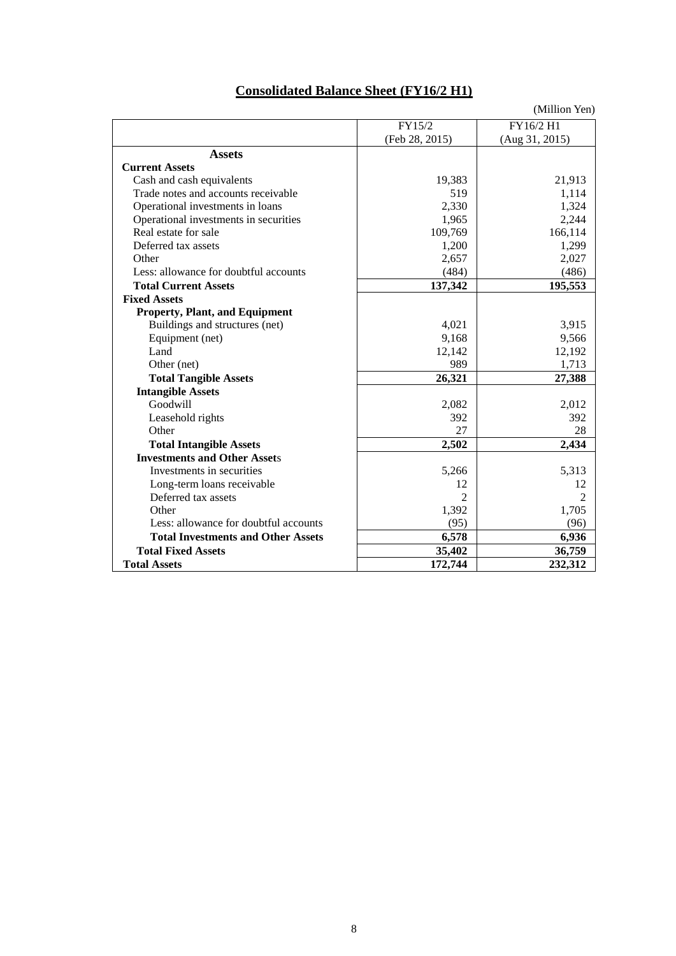| <b>Consolidated Balance Sheet (FY16/2 H1)</b> |  |  |
|-----------------------------------------------|--|--|
|                                               |  |  |

|                                           |                | (Million Yen)  |
|-------------------------------------------|----------------|----------------|
|                                           | FY15/2         | FY16/2 H1      |
|                                           | (Feb 28, 2015) | (Aug 31, 2015) |
| <b>Assets</b>                             |                |                |
| <b>Current Assets</b>                     |                |                |
| Cash and cash equivalents                 | 19,383         | 21,913         |
| Trade notes and accounts receivable       | 519            | 1,114          |
| Operational investments in loans          | 2,330          | 1,324          |
| Operational investments in securities     | 1,965          | 2,244          |
| Real estate for sale                      | 109,769        | 166,114        |
| Deferred tax assets                       | 1,200          | 1,299          |
| Other                                     | 2,657          | 2,027          |
| Less: allowance for doubtful accounts     | (484)          | (486)          |
| <b>Total Current Assets</b>               | 137,342        | 195,553        |
| <b>Fixed Assets</b>                       |                |                |
| <b>Property, Plant, and Equipment</b>     |                |                |
| Buildings and structures (net)            | 4,021          | 3,915          |
| Equipment (net)                           | 9,168          | 9,566          |
| Land                                      | 12,142         | 12,192         |
| Other (net)                               | 989            | 1,713          |
| <b>Total Tangible Assets</b>              | 26,321         | 27,388         |
| <b>Intangible Assets</b>                  |                |                |
| Goodwill                                  | 2,082          | 2,012          |
| Leasehold rights                          | 392            | 392            |
| Other                                     | 27             | 28             |
| <b>Total Intangible Assets</b>            | 2,502          | 2,434          |
| <b>Investments and Other Assets</b>       |                |                |
| Investments in securities                 | 5,266          | 5,313          |
| Long-term loans receivable                | 12             | 12             |
| Deferred tax assets                       | $\mathfrak{D}$ | $\mathfrak{D}$ |
| Other                                     | 1,392          | 1,705          |
| Less: allowance for doubtful accounts     | (95)           | (96)           |
| <b>Total Investments and Other Assets</b> | 6,578          | 6,936          |
| <b>Total Fixed Assets</b>                 | 35,402         | 36,759         |
| <b>Total Assets</b>                       | 172,744        | 232,312        |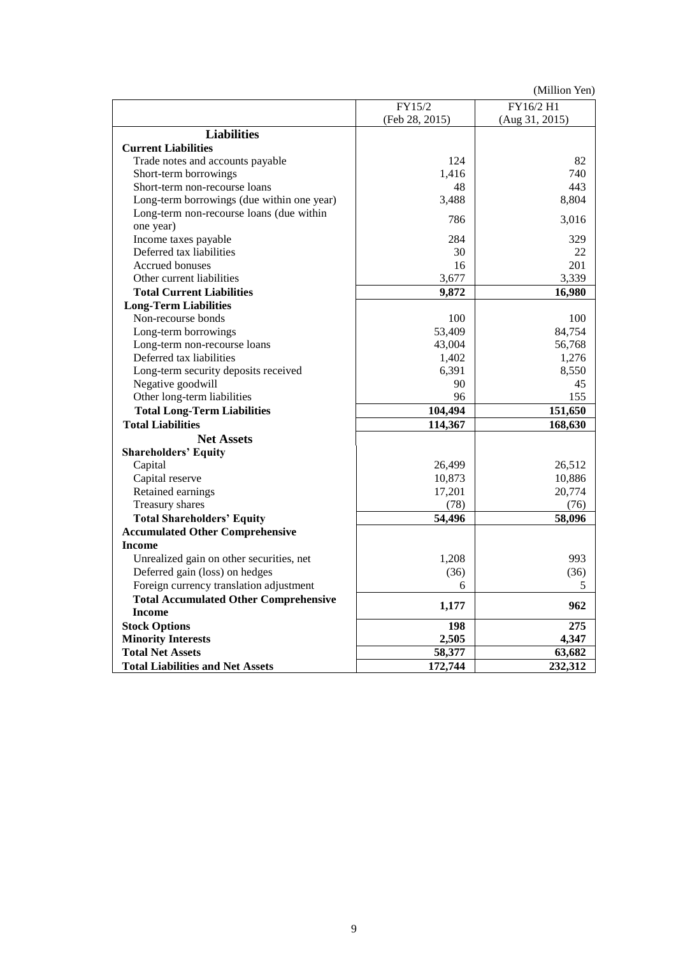(Million Yen)

|                                              | FY15/2         | FY16/2 H1      |
|----------------------------------------------|----------------|----------------|
|                                              | (Feb 28, 2015) | (Aug 31, 2015) |
| <b>Liabilities</b>                           |                |                |
| <b>Current Liabilities</b>                   |                |                |
| Trade notes and accounts payable             | 124            | 82             |
| Short-term borrowings                        | 1,416          | 740            |
| Short-term non-recourse loans                | 48             | 443            |
| Long-term borrowings (due within one year)   | 3,488          | 8,804          |
| Long-term non-recourse loans (due within     |                |                |
| one year)                                    | 786            | 3,016          |
| Income taxes payable                         | 284            | 329            |
| Deferred tax liabilities                     | 30             | 22             |
| Accrued bonuses                              | 16             | 201            |
| Other current liabilities                    | 3,677          | 3,339          |
| <b>Total Current Liabilities</b>             | 9,872          | 16,980         |
| <b>Long-Term Liabilities</b>                 |                |                |
| Non-recourse bonds                           | 100            | 100            |
| Long-term borrowings                         | 53,409         | 84,754         |
| Long-term non-recourse loans                 | 43,004         | 56,768         |
| Deferred tax liabilities                     | 1,402          | 1,276          |
| Long-term security deposits received         | 6,391          | 8,550          |
| Negative goodwill                            | 90             | 45             |
| Other long-term liabilities                  | 96             | 155            |
| <b>Total Long-Term Liabilities</b>           | 104,494        | 151,650        |
| <b>Total Liabilities</b>                     | 114,367        | 168,630        |
| <b>Net Assets</b>                            |                |                |
| <b>Shareholders' Equity</b>                  |                |                |
| Capital                                      | 26,499         | 26,512         |
| Capital reserve                              | 10,873         | 10,886         |
| Retained earnings                            | 17,201         | 20,774         |
| Treasury shares                              | (78)           | (76)           |
| <b>Total Shareholders' Equity</b>            | 54,496         | 58,096         |
| <b>Accumulated Other Comprehensive</b>       |                |                |
| <b>Income</b>                                |                |                |
| Unrealized gain on other securities, net     | 1,208          | 993            |
| Deferred gain (loss) on hedges               | (36)           | (36)           |
| Foreign currency translation adjustment      | 6              | 5              |
| <b>Total Accumulated Other Comprehensive</b> |                |                |
| <b>Income</b>                                | 1,177          | 962            |
| <b>Stock Options</b>                         | 198            | 275            |
| <b>Minority Interests</b>                    | 2,505          | 4,347          |
| <b>Total Net Assets</b>                      | 58,377         | 63,682         |
| <b>Total Liabilities and Net Assets</b>      | 172,744        | 232,312        |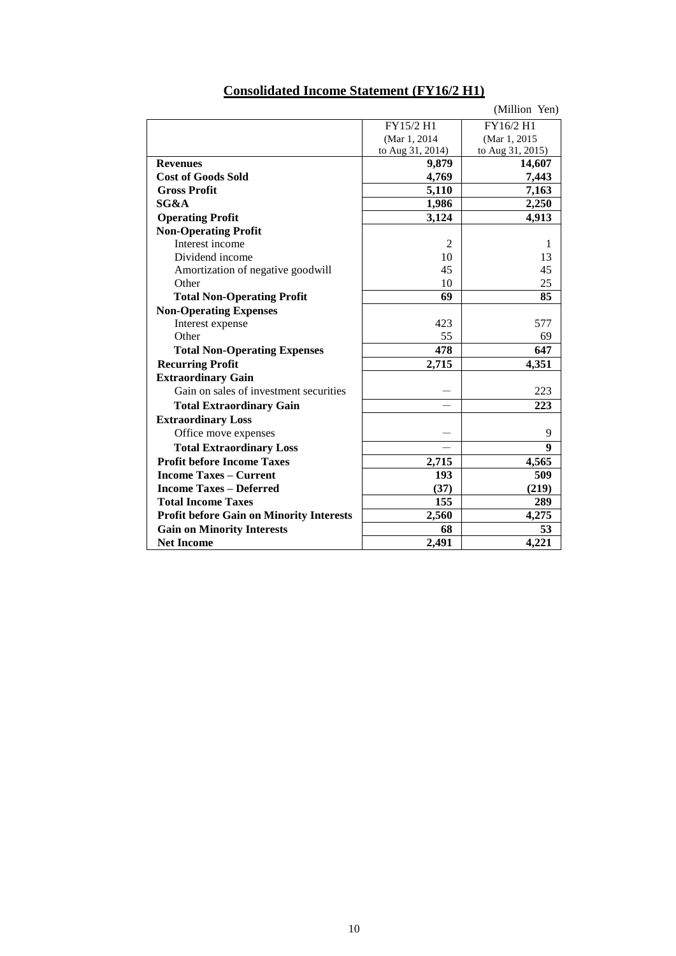|                | (Million Yen)                                                 |
|----------------|---------------------------------------------------------------|
| FY15/2 H1      | FY16/2 H1                                                     |
| (Mar 1, 2014   | (Mar 1, 2015                                                  |
|                | to Aug 31, 2015)                                              |
|                | 14,607                                                        |
|                | 7,443                                                         |
| 5,110          | 7,163                                                         |
| 1,986          | 2,250                                                         |
| 3,124          | 4,913                                                         |
|                |                                                               |
| $\overline{2}$ | 1                                                             |
| 10             | 13                                                            |
| 45             | 45                                                            |
| 10             | 25                                                            |
| 69             | 85                                                            |
|                |                                                               |
| 423            | 577                                                           |
| 55             | 69                                                            |
| 478            | 647                                                           |
| 2,715          | 4,351                                                         |
|                |                                                               |
|                | 223                                                           |
|                | 223                                                           |
|                |                                                               |
|                | 9                                                             |
|                | 9                                                             |
|                | 4,565                                                         |
| 193            | 509                                                           |
| (37)           | (219)                                                         |
| 155            | 289                                                           |
|                | 4,275                                                         |
| 68             | 53                                                            |
|                | 4,221                                                         |
|                | to Aug 31, 2014)<br>9,879<br>4,769<br>2,715<br>2,560<br>2,491 |

# **Consolidated Income Statement (FY16/2 H1)**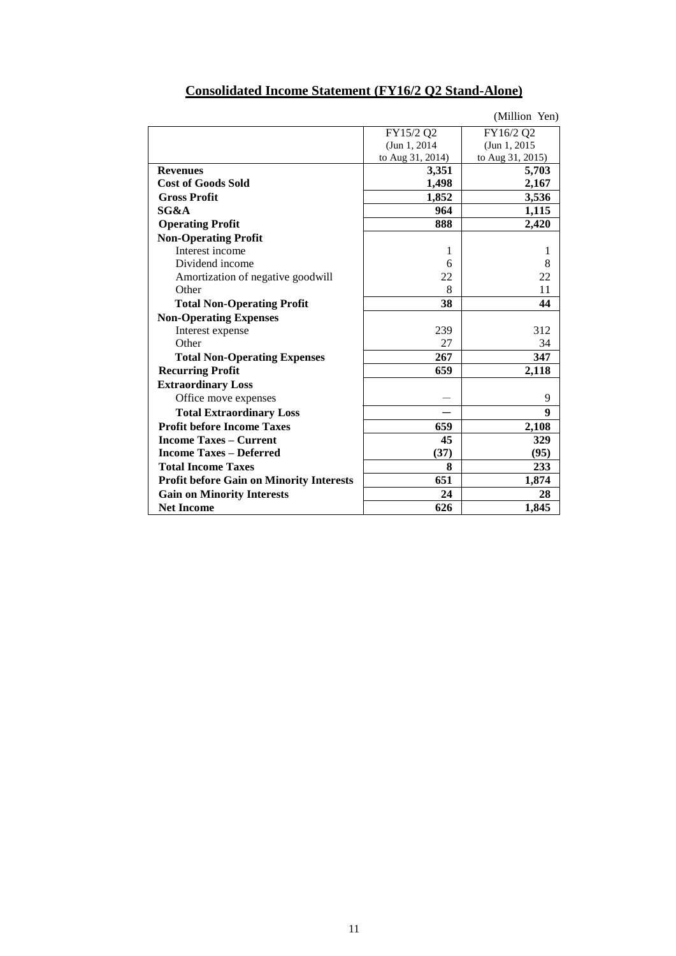|                                                 |                  | (Million Yen)    |
|-------------------------------------------------|------------------|------------------|
|                                                 | FY15/2 Q2        | FY16/2 Q2        |
|                                                 | (Jun 1, 2014)    | (Jun 1, 2015)    |
|                                                 | to Aug 31, 2014) | to Aug 31, 2015) |
| <b>Revenues</b>                                 | 3,351            | 5,703            |
| <b>Cost of Goods Sold</b>                       | 1,498            | 2,167            |
| <b>Gross Profit</b>                             | 1,852            | 3,536            |
| SG&A                                            | 964              | 1,115            |
| <b>Operating Profit</b>                         | 888              | 2,420            |
| <b>Non-Operating Profit</b>                     |                  |                  |
| Interest income                                 | 1                | 1                |
| Dividend income                                 | 6                | 8                |
| Amortization of negative goodwill               | 22               | 22               |
| Other                                           | 8                | 11               |
| <b>Total Non-Operating Profit</b>               | 38               | 44               |
| <b>Non-Operating Expenses</b>                   |                  |                  |
| Interest expense                                | 239              | 312              |
| Other                                           | 27               | 34               |
| <b>Total Non-Operating Expenses</b>             | 267              | 347              |
| <b>Recurring Profit</b>                         | 659              | 2,118            |
| <b>Extraordinary Loss</b>                       |                  |                  |
| Office move expenses                            |                  | 9                |
| <b>Total Extraordinary Loss</b>                 |                  | 9                |
| <b>Profit before Income Taxes</b>               | 659              | 2,108            |
| <b>Income Taxes – Current</b>                   | 45               | 329              |
| <b>Income Taxes – Deferred</b>                  | (37)             | (95)             |
| <b>Total Income Taxes</b>                       | 8                | 233              |
| <b>Profit before Gain on Minority Interests</b> | 651              | 1,874            |
| <b>Gain on Minority Interests</b>               | 24               | 28               |
| <b>Net Income</b>                               | 626              | 1,845            |

# **Consolidated Income Statement (FY16/2 Q2 Stand-Alone)**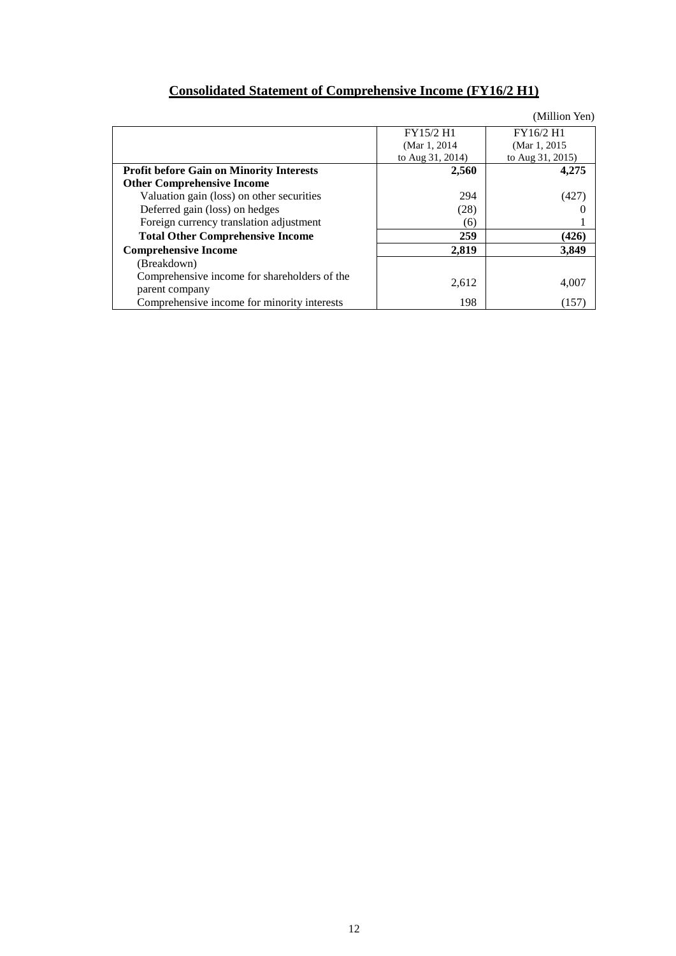# **Consolidated Statement of Comprehensive Income (FY16/2 H1)**

|                                                                |                  | (Million Yen)    |
|----------------------------------------------------------------|------------------|------------------|
|                                                                | FY15/2 H1        | FY16/2 H1        |
|                                                                | (Mar 1, 2014)    | (Mar 1, 2015)    |
|                                                                | to Aug 31, 2014) | to Aug 31, 2015) |
| <b>Profit before Gain on Minority Interests</b>                | 2,560            | 4,275            |
| <b>Other Comprehensive Income</b>                              |                  |                  |
| Valuation gain (loss) on other securities                      | 294              | (427)            |
| Deferred gain (loss) on hedges                                 | (28)             |                  |
| Foreign currency translation adjustment                        | (6)              |                  |
| <b>Total Other Comprehensive Income</b>                        | 259              | (426)            |
| <b>Comprehensive Income</b>                                    | 2,819            | 3,849            |
| (Breakdown)                                                    |                  |                  |
| Comprehensive income for shareholders of the<br>parent company | 2,612            | 4,007            |
| Comprehensive income for minority interests                    | 198              | (157)            |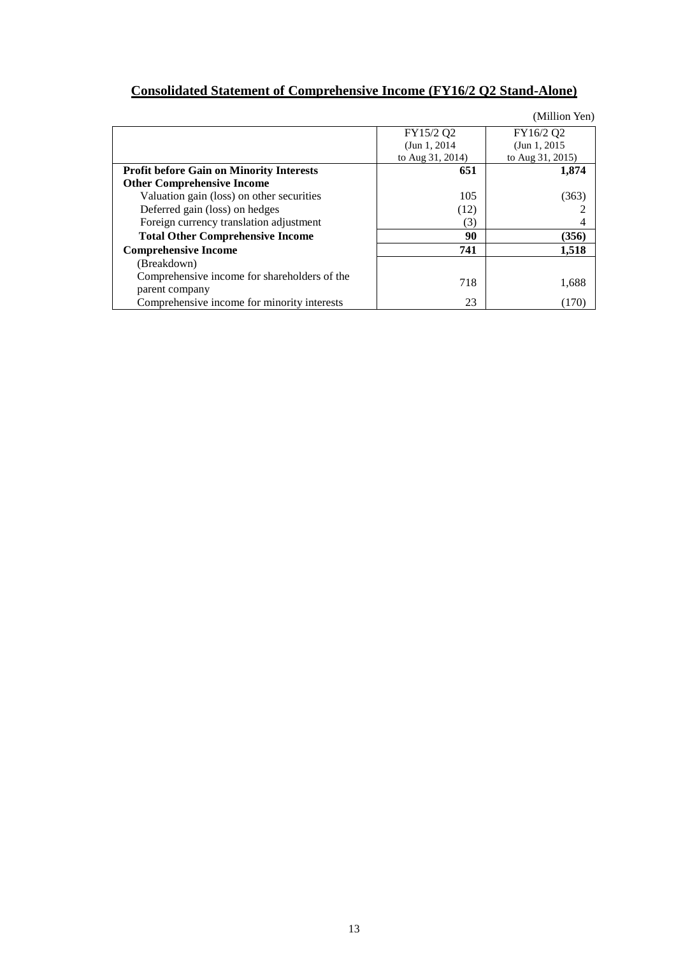# **Consolidated Statement of Comprehensive Income (FY16/2 Q2 Stand-Alone)**

|                                                 |                  | (Million Yen)    |
|-------------------------------------------------|------------------|------------------|
|                                                 | FY15/2 Q2        | FY16/2 Q2        |
|                                                 | (Jun 1, 2014)    | (Jun 1, 2015)    |
|                                                 | to Aug 31, 2014) | to Aug 31, 2015) |
| <b>Profit before Gain on Minority Interests</b> | 651              | 1,874            |
| <b>Other Comprehensive Income</b>               |                  |                  |
| Valuation gain (loss) on other securities       | 105              | (363)            |
| Deferred gain (loss) on hedges                  | (12)             |                  |
| Foreign currency translation adjustment         | (3)              |                  |
| <b>Total Other Comprehensive Income</b>         | 90               | (356)            |
| <b>Comprehensive Income</b>                     | 741              | 1,518            |
| (Breakdown)                                     |                  |                  |
| Comprehensive income for shareholders of the    | 718              |                  |
| parent company                                  |                  | 1,688            |
| Comprehensive income for minority interests     | 23               | (170)            |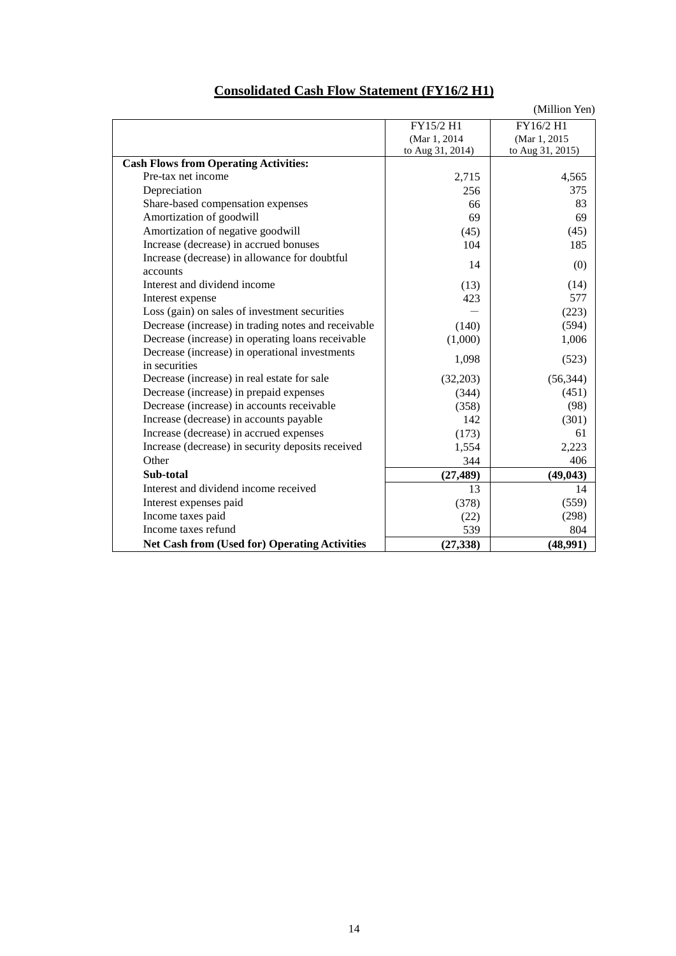|                                                     |                  | (Million Yen)    |
|-----------------------------------------------------|------------------|------------------|
|                                                     | FY15/2 H1        | FY16/2 H1        |
|                                                     | (Mar 1, 2014     | (Mar 1, 2015)    |
|                                                     | to Aug 31, 2014) | to Aug 31, 2015) |
| <b>Cash Flows from Operating Activities:</b>        |                  |                  |
| Pre-tax net income                                  | 2,715            | 4,565            |
| Depreciation                                        | 256              | 375              |
| Share-based compensation expenses                   | 66               | 83               |
| Amortization of goodwill                            | 69               | 69               |
| Amortization of negative goodwill                   | (45)             | (45)             |
| Increase (decrease) in accrued bonuses              | 104              | 185              |
| Increase (decrease) in allowance for doubtful       | 14               | (0)              |
| accounts                                            |                  |                  |
| Interest and dividend income                        | (13)             | (14)             |
| Interest expense                                    | 423              | 577              |
| Loss (gain) on sales of investment securities       |                  | (223)            |
| Decrease (increase) in trading notes and receivable | (140)            | (594)            |
| Decrease (increase) in operating loans receivable   | (1,000)          | 1,006            |
| Decrease (increase) in operational investments      | 1,098            | (523)            |
| in securities                                       |                  |                  |
| Decrease (increase) in real estate for sale         | (32,203)         | (56, 344)        |
| Decrease (increase) in prepaid expenses             | (344)            | (451)            |
| Decrease (increase) in accounts receivable          | (358)            | (98)             |
| Increase (decrease) in accounts payable             | 142              | (301)            |
| Increase (decrease) in accrued expenses             | (173)            | 61               |
| Increase (decrease) in security deposits received   | 1,554            | 2,223            |
| Other                                               | 344              | 406              |
| Sub-total                                           | (27, 489)        | (49, 043)        |
| Interest and dividend income received               | 13               | 14               |
| Interest expenses paid                              | (378)            | (559)            |
| Income taxes paid                                   | (22)             | (298)            |
| Income taxes refund                                 | 539              | 804              |
| Net Cash from (Used for) Operating Activities       | (27, 338)        | (48,991)         |

# **Consolidated Cash Flow Statement (FY16/2 H1)**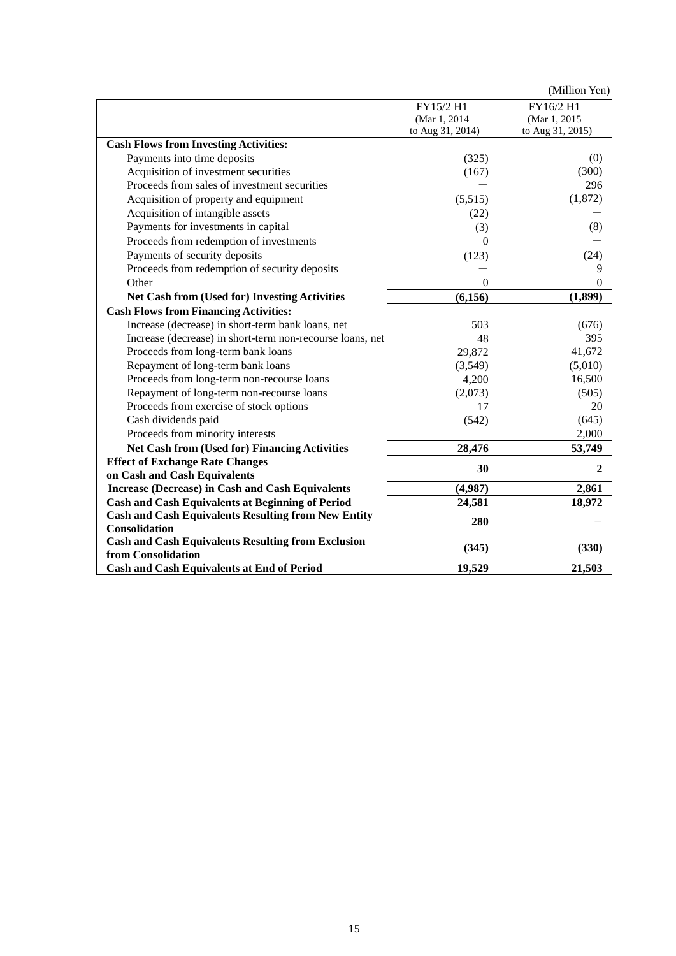(Million Yen)

|                                                                                      | FY15/2 H1                        | FY16/2 H1                        |
|--------------------------------------------------------------------------------------|----------------------------------|----------------------------------|
|                                                                                      | (Mar 1, 2014<br>to Aug 31, 2014) | (Mar 1, 2015<br>to Aug 31, 2015) |
| <b>Cash Flows from Investing Activities:</b>                                         |                                  |                                  |
| Payments into time deposits                                                          | (325)                            | (0)                              |
|                                                                                      |                                  |                                  |
| Acquisition of investment securities<br>Proceeds from sales of investment securities | (167)                            | (300)<br>296                     |
|                                                                                      |                                  |                                  |
| Acquisition of property and equipment                                                | (5,515)                          | (1,872)                          |
| Acquisition of intangible assets                                                     | (22)                             |                                  |
| Payments for investments in capital                                                  | (3)                              | (8)                              |
| Proceeds from redemption of investments                                              | $\Omega$                         |                                  |
| Payments of security deposits                                                        | (123)                            | (24)                             |
| Proceeds from redemption of security deposits                                        |                                  | 9                                |
| Other                                                                                | $\theta$                         | 0                                |
| Net Cash from (Used for) Investing Activities                                        | (6, 156)                         | (1, 899)                         |
| <b>Cash Flows from Financing Activities:</b>                                         |                                  |                                  |
| Increase (decrease) in short-term bank loans, net                                    | 503                              | (676)                            |
| Increase (decrease) in short-term non-recourse loans, net                            | 48                               | 395                              |
| Proceeds from long-term bank loans                                                   | 29,872                           | 41,672                           |
| Repayment of long-term bank loans                                                    | (3,549)                          | (5,010)                          |
| Proceeds from long-term non-recourse loans                                           | 4,200                            | 16,500                           |
| Repayment of long-term non-recourse loans                                            | (2,073)                          | (505)                            |
| Proceeds from exercise of stock options                                              | 17                               | 20                               |
| Cash dividends paid                                                                  | (542)                            | (645)                            |
| Proceeds from minority interests                                                     |                                  | 2,000                            |
| <b>Net Cash from (Used for) Financing Activities</b>                                 | 28,476                           | 53,749                           |
| <b>Effect of Exchange Rate Changes</b>                                               |                                  |                                  |
| on Cash and Cash Equivalents                                                         | 30                               | $\overline{2}$                   |
| <b>Increase (Decrease) in Cash and Cash Equivalents</b>                              | (4,987)                          | 2,861                            |
| <b>Cash and Cash Equivalents at Beginning of Period</b>                              | 24,581                           | 18,972                           |
| <b>Cash and Cash Equivalents Resulting from New Entity</b>                           |                                  |                                  |
| Consolidation                                                                        | 280                              |                                  |
| <b>Cash and Cash Equivalents Resulting from Exclusion</b>                            |                                  |                                  |
| from Consolidation                                                                   | (345)                            | (330)                            |
| Cash and Cash Equivalents at End of Period                                           | 19,529                           | 21,503                           |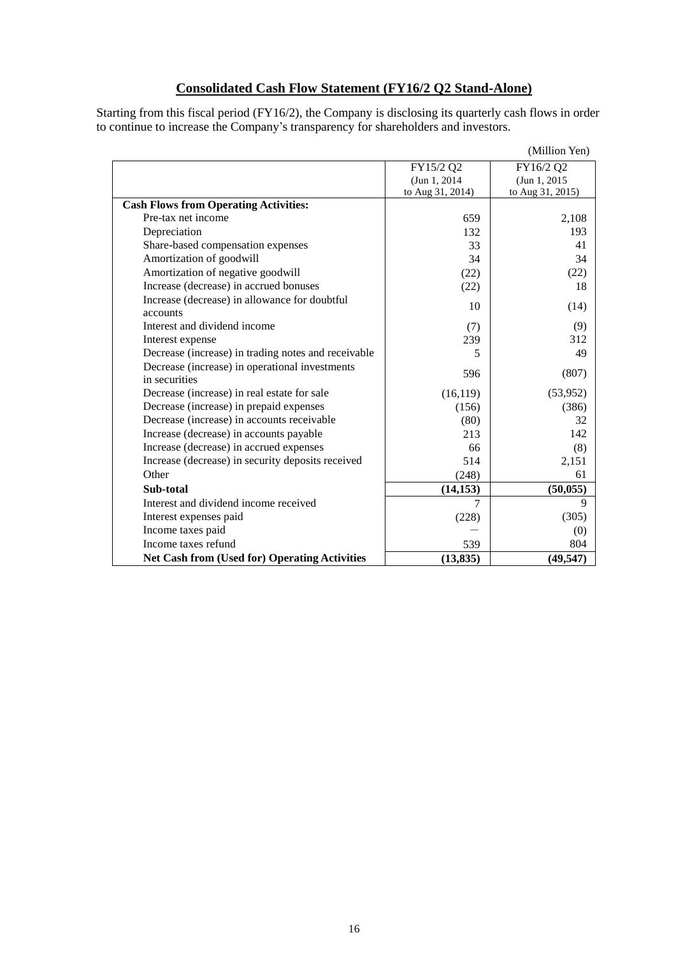## **Consolidated Cash Flow Statement (FY16/2 Q2 Stand-Alone)**

Starting from this fiscal period (FY16/2), the Company is disclosing its quarterly cash flows in order to continue to increase the Company's transparency for shareholders and investors.

|                                                      |                  | (Million Yen)    |
|------------------------------------------------------|------------------|------------------|
|                                                      | FY15/2 Q2        | FY16/2 Q2        |
|                                                      | (Jun 1, 2014)    | (Jun 1, 2015)    |
|                                                      | to Aug 31, 2014) | to Aug 31, 2015) |
| <b>Cash Flows from Operating Activities:</b>         |                  |                  |
| Pre-tax net income                                   | 659              | 2,108            |
| Depreciation                                         | 132              | 193              |
| Share-based compensation expenses                    | 33               | 41               |
| Amortization of goodwill                             | 34               | 34               |
| Amortization of negative goodwill                    | (22)             | (22)             |
| Increase (decrease) in accrued bonuses               | (22)             | 18               |
| Increase (decrease) in allowance for doubtful        | 10               | (14)             |
| accounts                                             |                  |                  |
| Interest and dividend income                         | (7)              | (9)              |
| Interest expense                                     | 239              | 312              |
| Decrease (increase) in trading notes and receivable  | 5                | 49               |
| Decrease (increase) in operational investments       | 596              | (807)            |
| in securities                                        |                  |                  |
| Decrease (increase) in real estate for sale          | (16, 119)        | (53,952)         |
| Decrease (increase) in prepaid expenses              | (156)            | (386)            |
| Decrease (increase) in accounts receivable           | (80)             | 32               |
| Increase (decrease) in accounts payable              | 213              | 142              |
| Increase (decrease) in accrued expenses              | 66               | (8)              |
| Increase (decrease) in security deposits received    | 514              | 2,151            |
| Other                                                | (248)            | 61               |
| Sub-total                                            | (14, 153)        | (50, 055)        |
| Interest and dividend income received                | 7                | 9                |
| Interest expenses paid                               | (228)            | (305)            |
| Income taxes paid                                    |                  | (0)              |
| Income taxes refund                                  | 539              | 804              |
| <b>Net Cash from (Used for) Operating Activities</b> | (13, 835)        | (49, 547)        |